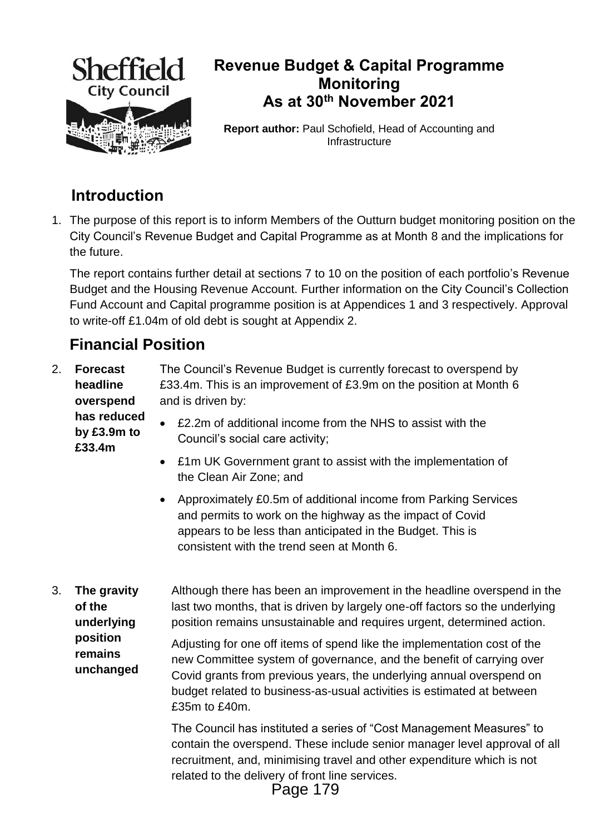

## **Revenue Budget & Capital Programme Monitoring As at 30th November 2021**

**Report author:** Paul Schofield, Head of Accounting and Infrastructure

# **Introduction**

1. The purpose of this report is to inform Members of the Outturn budget monitoring position on the City Council's Revenue Budget and Capital Programme as at Month 8 and the implications for the future.

The report contains further detail at sections 7 to 10 on the position of each portfolio's Revenue Budget and the Housing Revenue Account. Further information on the City Council's Collection Fund Account and Capital programme position is at Appendices 1 and 3 respectively. Approval to write-off £1.04m of old debt is sought at Appendix 2.

# **Financial Position**

2. **Forecast headline overspend**  The Council's Revenue Budget is currently forecast to overspend by £33.4m. This is an improvement of £3.9m on the position at Month 6 and is driven by:

**has reduced by £3.9m to £33.4m** 

- £2.2m of additional income from the NHS to assist with the Council's social care activity;
- £1m UK Government grant to assist with the implementation of the Clean Air Zone; and
- Approximately £0.5m of additional income from Parking Services and permits to work on the highway as the impact of Covid appears to be less than anticipated in the Budget. This is consistent with the trend seen at Month 6.
- 3. **The gravity of the underlying position remains unchanged** Although there has been an improvement in the headline overspend in the last two months, that is driven by largely one-off factors so the underlying position remains unsustainable and requires urgent, determined action. Adjusting for one off items of spend like the implementation cost of the new Committee system of governance, and the benefit of carrying over

Covid grants from previous years, the underlying annual overspend on budget related to business-as-usual activities is estimated at between £35m to £40m.

The Council has instituted a series of "Cost Management Measures" to contain the overspend. These include senior manager level approval of all recruitment, and, minimising travel and other expenditure which is not related to the delivery of front line services.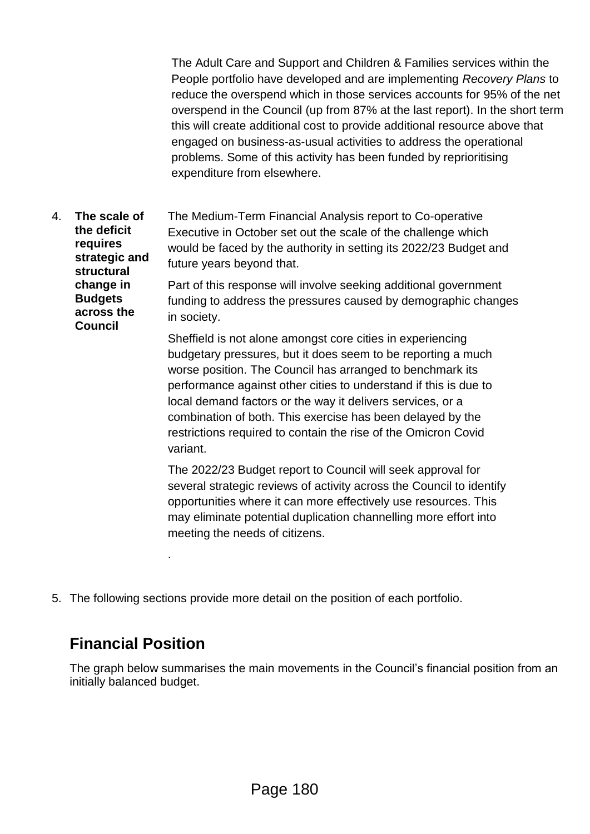The Adult Care and Support and Children & Families services within the People portfolio have developed and are implementing *Recovery Plans* to reduce the overspend which in those services accounts for 95% of the net overspend in the Council (up from 87% at the last report). In the short term this will create additional cost to provide additional resource above that engaged on business-as-usual activities to address the operational problems. Some of this activity has been funded by reprioritising expenditure from elsewhere.

4. **The scale of the deficit requires strategic and structural change in Budgets across the Council** The Medium-Term Financial Analysis report to Co-operative Executive in October set out the scale of the challenge which would be faced by the authority in setting its 2022/23 Budget and future years beyond that. Part of this response will involve seeking additional government funding to address the pressures caused by demographic changes in society. Sheffield is not alone amongst core cities in experiencing

budgetary pressures, but it does seem to be reporting a much worse position. The Council has arranged to benchmark its performance against other cities to understand if this is due to local demand factors or the way it delivers services, or a combination of both. This exercise has been delayed by the restrictions required to contain the rise of the Omicron Covid variant.

The 2022/23 Budget report to Council will seek approval for several strategic reviews of activity across the Council to identify opportunities where it can more effectively use resources. This may eliminate potential duplication channelling more effort into meeting the needs of citizens.

5. The following sections provide more detail on the position of each portfolio.

# **Financial Position**

.

The graph below summarises the main movements in the Council's financial position from an initially balanced budget.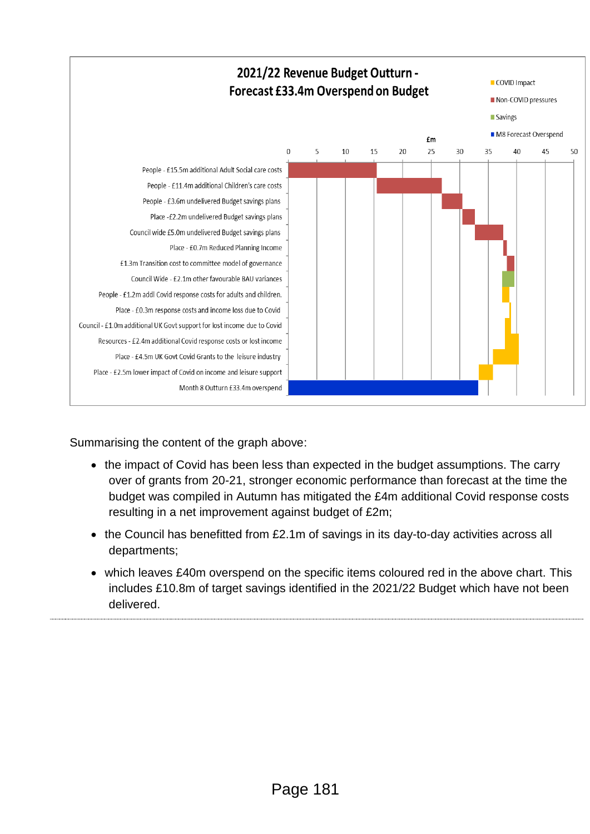

Summarising the content of the graph above:

- the impact of Covid has been less than expected in the budget assumptions. The carry over of grants from 20-21, stronger economic performance than forecast at the time the budget was compiled in Autumn has mitigated the £4m additional Covid response costs resulting in a net improvement against budget of £2m;
- the Council has benefitted from £2.1m of savings in its day-to-day activities across all departments;
- which leaves £40m overspend on the specific items coloured red in the above chart. This includes £10.8m of target savings identified in the 2021/22 Budget which have not been delivered.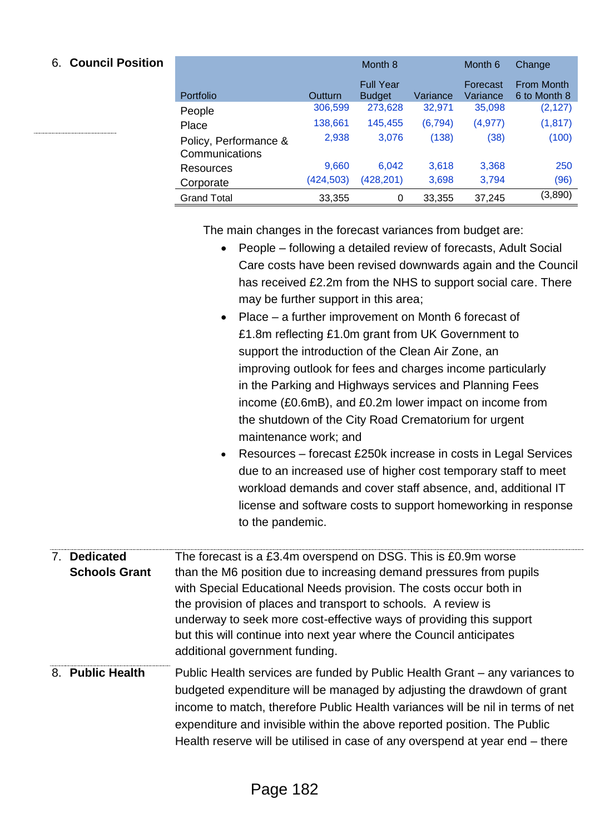### 6. **Council Position**

|                                         |            | Month <sub>8</sub>                |          | Month 6              | Change                     |
|-----------------------------------------|------------|-----------------------------------|----------|----------------------|----------------------------|
| Portfolio                               | Outturn    | <b>Full Year</b><br><b>Budget</b> | Variance | Forecast<br>Variance | From Month<br>6 to Month 8 |
| People                                  | 306,599    | 273,628                           | 32,971   | 35,098               | (2, 127)                   |
| Place                                   | 138,661    | 145,455                           | (6, 794) | (4, 977)             | (1, 817)                   |
| Policy, Performance &<br>Communications | 2,938      | 3,076                             | (138)    | (38)                 | (100)                      |
| Resources                               | 9,660      | 6.042                             | 3,618    | 3,368                | 250                        |
| Corporate                               | (424, 503) | (428, 201)                        | 3,698    | 3,794                | (96)                       |
| <b>Grand Total</b>                      | 33,355     | 0                                 | 33,355   | 37,245               | (3,890)                    |

The main changes in the forecast variances from budget are:

- People following a detailed review of forecasts, Adult Social Care costs have been revised downwards again and the Council has received £2.2m from the NHS to support social care. There may be further support in this area;
- Place a further improvement on Month 6 forecast of £1.8m reflecting £1.0m grant from UK Government to support the introduction of the Clean Air Zone, an improving outlook for fees and charges income particularly in the Parking and Highways services and Planning Fees income (£0.6mB), and £0.2m lower impact on income from the shutdown of the City Road Crematorium for urgent maintenance work; and
- Resources forecast £250k increase in costs in Legal Services due to an increased use of higher cost temporary staff to meet workload demands and cover staff absence, and, additional IT license and software costs to support homeworking in response to the pandemic.
- 7. **Dedicated Schools Grant** The forecast is a £3.4m overspend on DSG. This is £0.9m worse than the M6 position due to increasing demand pressures from pupils with Special Educational Needs provision. The costs occur both in the provision of places and transport to schools. A review is underway to seek more cost-effective ways of providing this support but this will continue into next year where the Council anticipates additional government funding.
- 8. **Public Health** Public Health services are funded by Public Health Grant any variances to budgeted expenditure will be managed by adjusting the drawdown of grant income to match, therefore Public Health variances will be nil in terms of net expenditure and invisible within the above reported position. The Public Health reserve will be utilised in case of any overspend at year end – there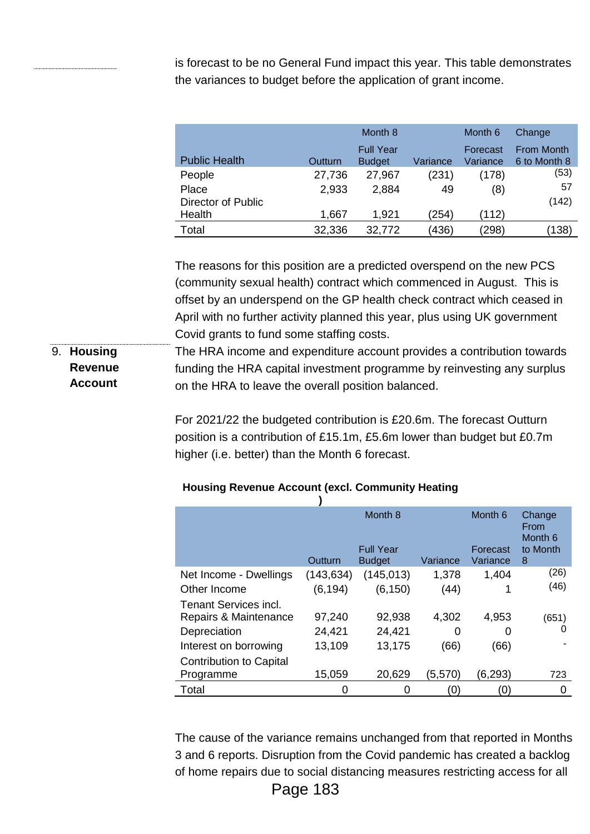is forecast to be no General Fund impact this year. This table demonstrates the variances to budget before the application of grant income.

|                           |         | Month 8                           |          | Month 6              | Change                     |
|---------------------------|---------|-----------------------------------|----------|----------------------|----------------------------|
| <b>Public Health</b>      | Outturn | <b>Full Year</b><br><b>Budget</b> | Variance | Forecast<br>Variance | From Month<br>6 to Month 8 |
| People                    | 27,736  | 27,967                            | (231)    | (178)                | (53)                       |
| Place                     | 2,933   | 2,884                             | 49       | (8)                  | 57                         |
| <b>Director of Public</b> |         |                                   |          |                      | (142)                      |
| Health                    | 1,667   | 1,921                             | (254)    | (112)                |                            |
| Total                     | 32,336  | 32,772                            | (436)    | (298)                | (138)                      |

The reasons for this position are a predicted overspend on the new PCS (community sexual health) contract which commenced in August. This is offset by an underspend on the GP health check contract which ceased in April with no further activity planned this year, plus using UK government Covid grants to fund some staffing costs.

9. **Housing Revenue Account** The HRA income and expenditure account provides a contribution towards funding the HRA capital investment programme by reinvesting any surplus on the HRA to leave the overall position balanced.

> For 2021/22 the budgeted contribution is £20.6m. The forecast Outturn position is a contribution of £15.1m, £5.6m lower than budget but £0.7m higher (i.e. better) than the Month 6 forecast.

### **Housing Revenue Account (excl. Community Heating**

|                                |            | Month 8          |          | Month 6  | Change<br>From<br>Month <sub>6</sub> |
|--------------------------------|------------|------------------|----------|----------|--------------------------------------|
|                                |            | <b>Full Year</b> |          | Forecast | to Month                             |
|                                | Outturn    | <b>Budget</b>    | Variance | Variance | 8                                    |
| Net Income - Dwellings         | (143, 634) | (145, 013)       | 1,378    | 1,404    | (26)                                 |
| Other Income                   | (6, 194)   | (6, 150)         | (44)     |          | (46)                                 |
| Tenant Services incl.          |            |                  |          |          |                                      |
| Repairs & Maintenance          | 97,240     | 92,938           | 4,302    | 4,953    | (651)                                |
| Depreciation                   | 24,421     | 24,421           | 0        | O        | O                                    |
| Interest on borrowing          | 13,109     | 13,175           | (66)     | (66)     |                                      |
| <b>Contribution to Capital</b> |            |                  |          |          |                                      |
| Programme                      | 15,059     | 20,629           | (5,570)  | (6, 293) | 723                                  |
| Total                          | O          | 0                | 0)       | (0       | 0                                    |

The cause of the variance remains unchanged from that reported in Months 3 and 6 reports. Disruption from the Covid pandemic has created a backlog of home repairs due to social distancing measures restricting access for all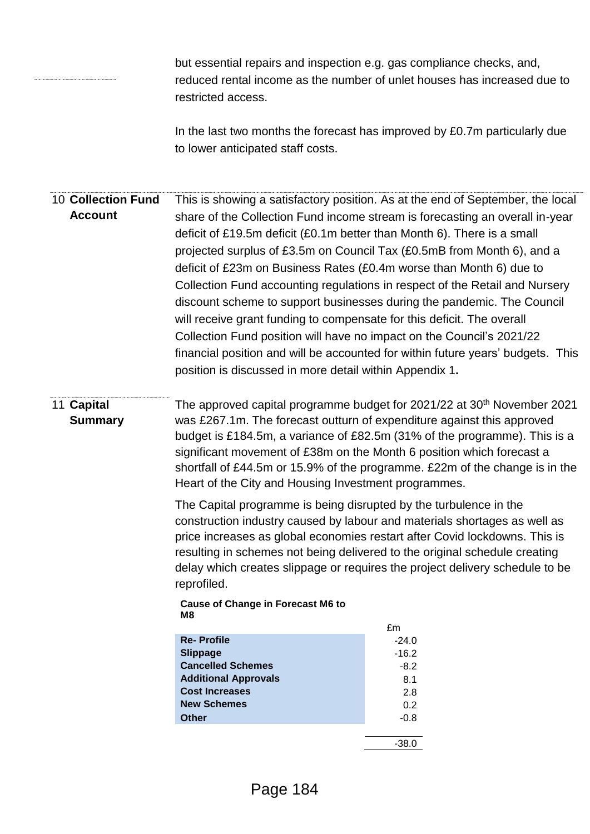but essential repairs and inspection e.g. gas compliance checks, and, reduced rental income as the number of unlet houses has increased due to restricted access.

In the last two months the forecast has improved by £0.7m particularly due to lower anticipated staff costs.

10.**Collection Fund Account** This is showing a satisfactory position. As at the end of September, the local share of the Collection Fund income stream is forecasting an overall in-year deficit of £19.5m deficit (£0.1m better than Month 6). There is a small projected surplus of £3.5m on Council Tax (£0.5mB from Month 6), and a deficit of £23m on Business Rates (£0.4m worse than Month 6) due to Collection Fund accounting regulations in respect of the Retail and Nursery discount scheme to support businesses during the pandemic. The Council will receive grant funding to compensate for this deficit. The overall Collection Fund position will have no impact on the Council's 2021/22 financial position and will be accounted for within future years' budgets. This position is discussed in more detail within Appendix 1**.**

### 11.**Capital Summary**

The approved capital programme budget for 2021/22 at 30<sup>th</sup> November 2021 was £267.1m. The forecast outturn of expenditure against this approved budget is £184.5m, a variance of £82.5m (31% of the programme). This is a significant movement of £38m on the Month 6 position which forecast a shortfall of £44.5m or 15.9% of the programme. £22m of the change is in the Heart of the City and Housing Investment programmes.

The Capital programme is being disrupted by the turbulence in the construction industry caused by labour and materials shortages as well as price increases as global economies restart after Covid lockdowns. This is resulting in schemes not being delivered to the original schedule creating delay which creates slippage or requires the project delivery schedule to be reprofiled.

**Cause of Change in Forecast M6 to M8**

|                             | £m      |
|-----------------------------|---------|
| <b>Re-Profile</b>           | $-24.0$ |
| <b>Slippage</b>             | $-16.2$ |
| <b>Cancelled Schemes</b>    | $-8.2$  |
| <b>Additional Approvals</b> | 8.1     |
| <b>Cost Increases</b>       | 2.8     |
| <b>New Schemes</b>          | 0.2     |
| <b>Other</b>                | $-0.8$  |
|                             |         |
|                             |         |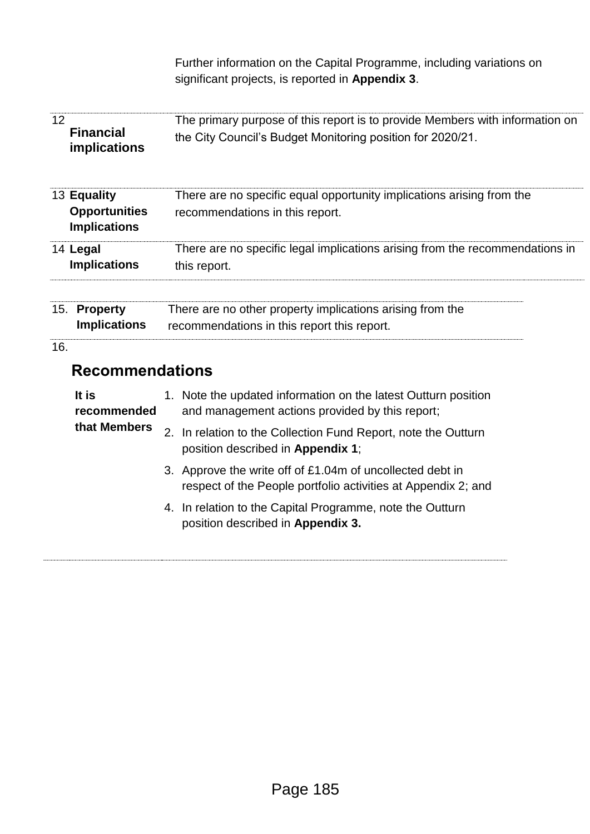Further information on the Capital Programme, including variations on significant projects, is reported in **Appendix 3**.

| 12  | <b>Financial</b><br>implications                           | The primary purpose of this report is to provide Members with information on<br>the City Council's Budget Monitoring position for 2020/21. |
|-----|------------------------------------------------------------|--------------------------------------------------------------------------------------------------------------------------------------------|
|     | 13 Equality<br><b>Opportunities</b><br><b>Implications</b> | There are no specific equal opportunity implications arising from the<br>recommendations in this report.                                   |
|     | 14 Legal<br><b>Implications</b>                            | There are no specific legal implications arising from the recommendations in<br>this report.                                               |
|     | 15. Property<br><b>Implications</b>                        | There are no other property implications arising from the<br>recommendations in this report this report.                                   |
| 16. |                                                            |                                                                                                                                            |
|     | <b>Recommendations</b>                                     |                                                                                                                                            |
|     | It is<br>recommended                                       | 1. Note the updated information on the latest Outturn position<br>and management actions provided by this report;                          |
|     | that Members                                               | 2. In relation to the Collection Fund Report, note the Outturn<br>position described in Appendix 1;                                        |
|     |                                                            | 3. Approve the write off of £1.04m of uncollected debt in<br>respect of the People portfolio activities at Appendix 2; and                 |
|     |                                                            | 4. In relation to the Capital Programme, note the Outturn<br>position described in Appendix 3.                                             |
|     |                                                            |                                                                                                                                            |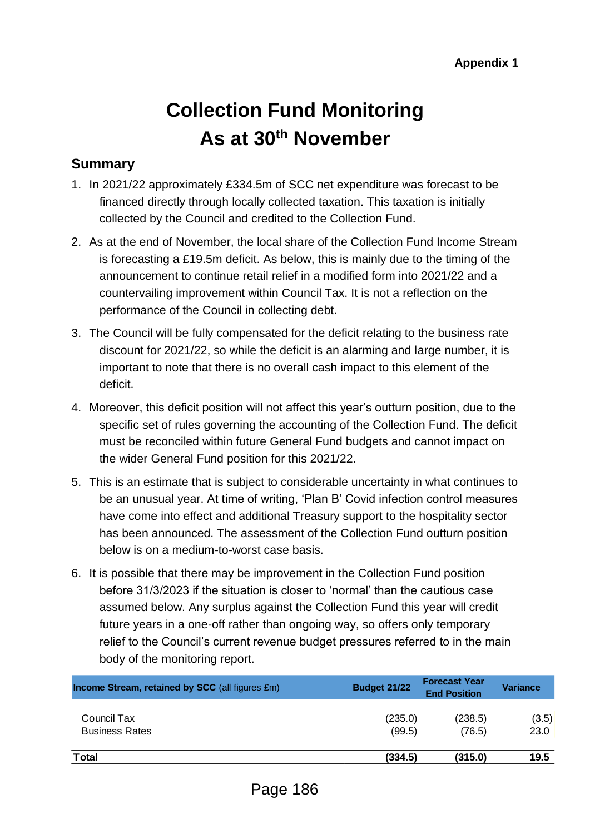# **Collection Fund Monitoring As at 30th November**

### **Summary**

- 1. In 2021/22 approximately £334.5m of SCC net expenditure was forecast to be financed directly through locally collected taxation. This taxation is initially collected by the Council and credited to the Collection Fund.
- 2. As at the end of November, the local share of the Collection Fund Income Stream is forecasting a £19.5m deficit. As below, this is mainly due to the timing of the announcement to continue retail relief in a modified form into 2021/22 and a countervailing improvement within Council Tax. It is not a reflection on the performance of the Council in collecting debt.
- 3. The Council will be fully compensated for the deficit relating to the business rate discount for 2021/22, so while the deficit is an alarming and large number, it is important to note that there is no overall cash impact to this element of the deficit.
- 4. Moreover, this deficit position will not affect this year's outturn position, due to the specific set of rules governing the accounting of the Collection Fund. The deficit must be reconciled within future General Fund budgets and cannot impact on the wider General Fund position for this 2021/22.
- 5. This is an estimate that is subject to considerable uncertainty in what continues to be an unusual year. At time of writing, 'Plan B' Covid infection control measures have come into effect and additional Treasury support to the hospitality sector has been announced. The assessment of the Collection Fund outturn position below is on a medium-to-worst case basis.
- 6. It is possible that there may be improvement in the Collection Fund position before 31/3/2023 if the situation is closer to 'normal' than the cautious case assumed below. Any surplus against the Collection Fund this year will credit future years in a one-off rather than ongoing way, so offers only temporary relief to the Council's current revenue budget pressures referred to in the main body of the monitoring report.

| <b>Income Stream, retained by SCC</b> (all figures £m) | <b>Budget 21/22</b> | <b>Forecast Year</b><br><b>End Position</b> | <b>Variance</b> |
|--------------------------------------------------------|---------------------|---------------------------------------------|-----------------|
| Council Tax                                            | (235.0)             | (238.5)                                     | (3.5)           |
| <b>Business Rates</b>                                  | (99.5)              | (76.5)                                      | 23.0            |
| <b>Total</b>                                           | (334.5)             | (315.0)                                     | 19.5            |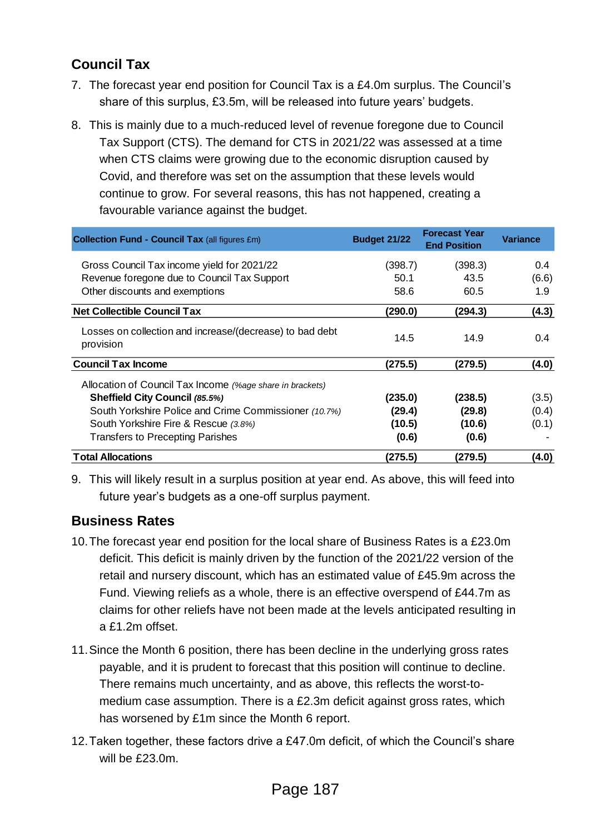### **Council Tax**

- 7. The forecast year end position for Council Tax is a £4.0m surplus. The Council's share of this surplus, £3.5m, will be released into future years' budgets.
- 8. This is mainly due to a much-reduced level of revenue foregone due to Council Tax Support (CTS). The demand for CTS in 2021/22 was assessed at a time when CTS claims were growing due to the economic disruption caused by Covid, and therefore was set on the assumption that these levels would continue to grow. For several reasons, this has not happened, creating a favourable variance against the budget.

| <b>Collection Fund - Council Tax (all figures £m)</b>                 | Budget 21/22 | <b>Forecast Year</b><br><b>End Position</b> | <b>Variance</b> |
|-----------------------------------------------------------------------|--------------|---------------------------------------------|-----------------|
| Gross Council Tax income yield for 2021/22                            | (398.7)      | (398.3)                                     | $0.4^{\circ}$   |
| Revenue foregone due to Council Tax Support                           | 50.1         | 43.5                                        | (6.6)           |
| Other discounts and exemptions                                        | 58.6         | 60.5                                        | 1.9             |
| <b>Net Collectible Council Tax</b>                                    | (290.0)      | (294.3)                                     | (4.3)           |
| Losses on collection and increase/(decrease) to bad debt<br>provision | 14.5         | 14.9                                        | 0.4             |
| <b>Council Tax Income</b>                                             | (275.5)      | (279.5)                                     | (4.0)           |
| Allocation of Council Tax Income (%age share in brackets)             |              |                                             |                 |
| <b>Sheffield City Council (85.5%)</b>                                 | (235.0)      | (238.5)                                     | (3.5)           |
| South Yorkshire Police and Crime Commissioner (10.7%)                 | (29.4)       | (29.8)                                      | (0.4)           |
| South Yorkshire Fire & Rescue (3.8%)                                  | (10.5)       | (10.6)                                      | (0.1)           |
| <b>Transfers to Precepting Parishes</b>                               | (0.6)        | (0.6)                                       |                 |
| <b>Total Allocations</b>                                              | (275.5)      | (279.5)                                     | (4.0)           |

9. This will likely result in a surplus position at year end. As above, this will feed into future year's budgets as a one-off surplus payment.

### **Business Rates**

- 10.The forecast year end position for the local share of Business Rates is a £23.0m deficit. This deficit is mainly driven by the function of the 2021/22 version of the retail and nursery discount, which has an estimated value of £45.9m across the Fund. Viewing reliefs as a whole, there is an effective overspend of £44.7m as claims for other reliefs have not been made at the levels anticipated resulting in a £1.2m offset.
- 11.Since the Month 6 position, there has been decline in the underlying gross rates payable, and it is prudent to forecast that this position will continue to decline. There remains much uncertainty, and as above, this reflects the worst-tomedium case assumption. There is a £2.3m deficit against gross rates, which has worsened by £1m since the Month 6 report.
- 12.Taken together, these factors drive a £47.0m deficit, of which the Council's share will be £23.0m.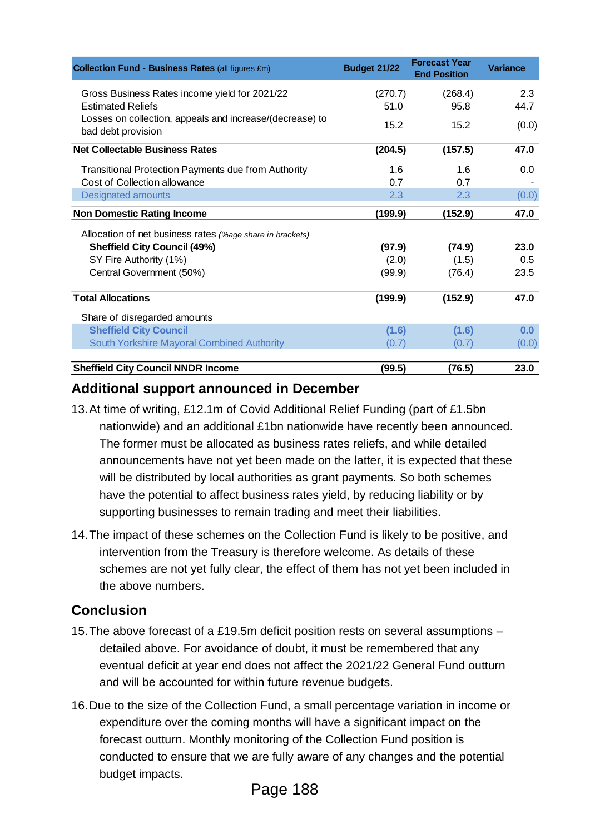| <b>Collection Fund - Business Rates (all figures £m)</b>                       | Budget 21/22 | <b>Forecast Year</b><br><b>End Position</b> | <b>Variance</b> |
|--------------------------------------------------------------------------------|--------------|---------------------------------------------|-----------------|
| Gross Business Rates income yield for 2021/22                                  | (270.7)      | (268.4)                                     | 2.3             |
| <b>Estimated Reliefs</b>                                                       | 51.0         | 95.8                                        | 44.7            |
| Losses on collection, appeals and increase/(decrease) to<br>bad debt provision | 15.2         | 15.2                                        | (0.0)           |
| <b>Net Collectable Business Rates</b>                                          | (204.5)      | (157.5)                                     | 47.0            |
| <b>Transitional Protection Payments due from Authority</b>                     | 1.6          | 1.6                                         | 0.0             |
| Cost of Collection allowance                                                   | 0.7          | 0.7                                         |                 |
| <b>Designated amounts</b>                                                      | 2.3          | 2.3                                         | (0.0)           |
| <b>Non Domestic Rating Income</b>                                              | (199.9)      | (152.9)                                     | 47.0            |
| Allocation of net business rates (%age share in brackets)                      |              |                                             |                 |
| <b>Sheffield City Council (49%)</b>                                            | (97.9)       | (74.9)                                      | 23.0            |
| SY Fire Authority (1%)                                                         | (2.0)        | (1.5)                                       | 0.5             |
| Central Government (50%)                                                       | (99.9)       | (76.4)                                      | 23.5            |
| <b>Total Allocations</b>                                                       | (199.9)      | (152.9)                                     | 47.0            |
| Share of disregarded amounts                                                   |              |                                             |                 |
| <b>Sheffield City Council</b>                                                  | (1.6)        | (1.6)                                       | 0.0             |
| South Yorkshire Mayoral Combined Authority                                     | (0.7)        | (0.7)                                       | (0.0)           |
| <b>Sheffield City Council NNDR Income</b>                                      | (99.5)       | (76.5)                                      | 23.0            |

### **Additional support announced in December**

- 13.At time of writing, £12.1m of Covid Additional Relief Funding (part of £1.5bn nationwide) and an additional £1bn nationwide have recently been announced. The former must be allocated as business rates reliefs, and while detailed announcements have not yet been made on the latter, it is expected that these will be distributed by local authorities as grant payments. So both schemes have the potential to affect business rates yield, by reducing liability or by supporting businesses to remain trading and meet their liabilities.
- 14.The impact of these schemes on the Collection Fund is likely to be positive, and intervention from the Treasury is therefore welcome. As details of these schemes are not yet fully clear, the effect of them has not yet been included in the above numbers.

### **Conclusion**

- 15.The above forecast of a £19.5m deficit position rests on several assumptions detailed above. For avoidance of doubt, it must be remembered that any eventual deficit at year end does not affect the 2021/22 General Fund outturn and will be accounted for within future revenue budgets.
- 16.Due to the size of the Collection Fund, a small percentage variation in income or expenditure over the coming months will have a significant impact on the forecast outturn. Monthly monitoring of the Collection Fund position is conducted to ensure that we are fully aware of any changes and the potential budget impacts.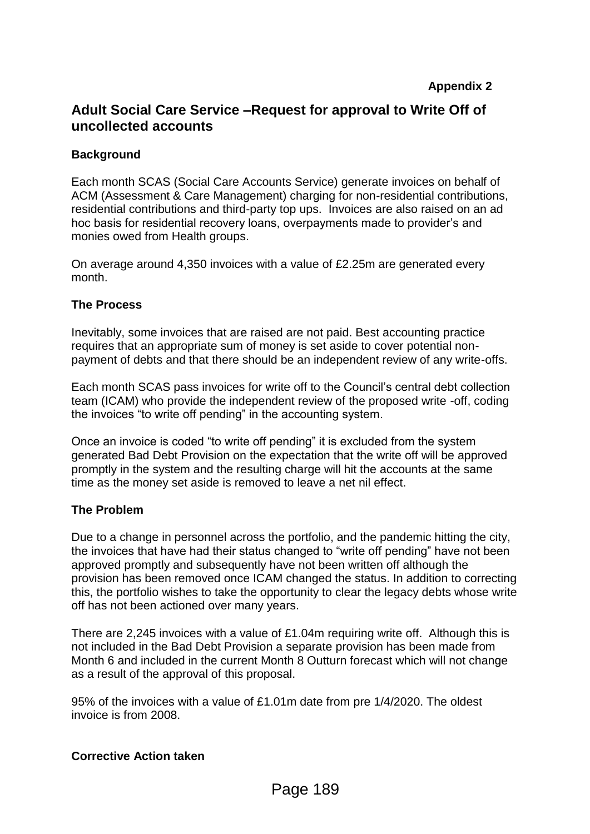### **Adult Social Care Service –Request for approval to Write Off of uncollected accounts**

#### **Background**

Each month SCAS (Social Care Accounts Service) generate invoices on behalf of ACM (Assessment & Care Management) charging for non-residential contributions, residential contributions and third-party top ups. Invoices are also raised on an ad hoc basis for residential recovery loans, overpayments made to provider's and monies owed from Health groups.

On average around 4,350 invoices with a value of £2.25m are generated every month.

#### **The Process**

Inevitably, some invoices that are raised are not paid. Best accounting practice requires that an appropriate sum of money is set aside to cover potential nonpayment of debts and that there should be an independent review of any write-offs.

Each month SCAS pass invoices for write off to the Council's central debt collection team (ICAM) who provide the independent review of the proposed write -off, coding the invoices "to write off pending" in the accounting system.

Once an invoice is coded "to write off pending" it is excluded from the system generated Bad Debt Provision on the expectation that the write off will be approved promptly in the system and the resulting charge will hit the accounts at the same time as the money set aside is removed to leave a net nil effect.

#### **The Problem**

Due to a change in personnel across the portfolio, and the pandemic hitting the city, the invoices that have had their status changed to "write off pending" have not been approved promptly and subsequently have not been written off although the provision has been removed once ICAM changed the status. In addition to correcting this, the portfolio wishes to take the opportunity to clear the legacy debts whose write off has not been actioned over many years.

There are 2,245 invoices with a value of £1.04m requiring write off. Although this is not included in the Bad Debt Provision a separate provision has been made from Month 6 and included in the current Month 8 Outturn forecast which will not change as a result of the approval of this proposal.

95% of the invoices with a value of £1.01m date from pre 1/4/2020. The oldest invoice is from 2008.

#### **Corrective Action taken**